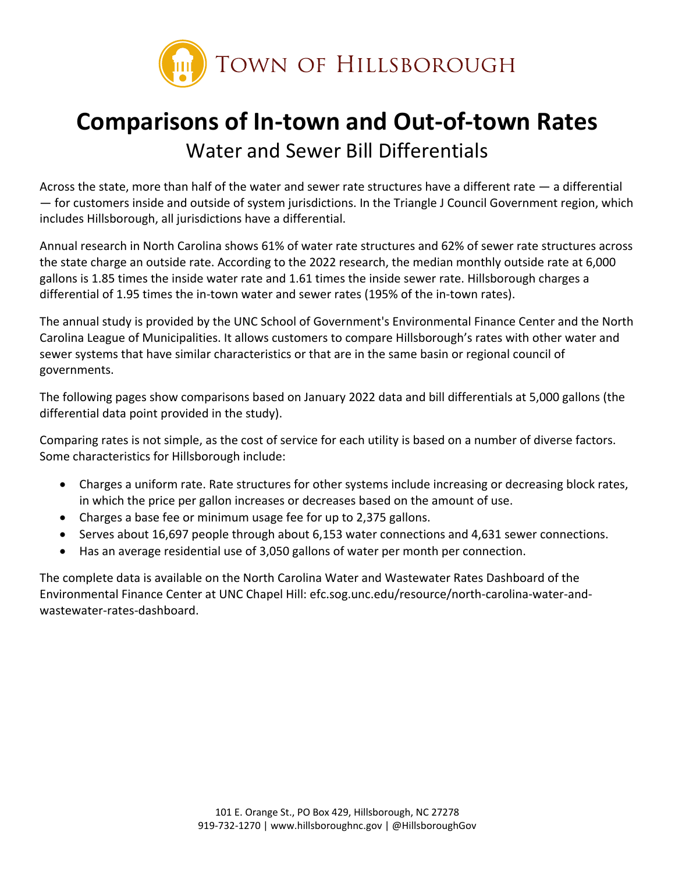

## **Comparisons of In-town and Out-of-town Rates** Water and Sewer Bill Differentials

Across the state, more than half of the water and sewer rate structures have a different rate — a differential — for customers inside and outside of system jurisdictions. In the Triangle J Council Government region, which includes Hillsborough, all jurisdictions have a differential.

Annual research in North Carolina shows 61% of water rate structures and 62% of sewer rate structures across the state charge an outside rate. According to the 2022 research, the median monthly outside rate at 6,000 gallons is 1.85 times the inside water rate and 1.61 times the inside sewer rate. Hillsborough charges a differential of 1.95 times the in-town water and sewer rates (195% of the in-town rates).

The annual study is provided by the UNC School of Government's Environmental Finance Center and the North Carolina League of Municipalities. It allows customers to compare Hillsborough's rates with other water and sewer systems that have similar characteristics or that are in the same basin or regional council of governments.

The following pages show comparisons based on January 2022 data and bill differentials at 5,000 gallons (the differential data point provided in the study).

Comparing rates is not simple, as the cost of service for each utility is based on a number of diverse factors. Some characteristics for Hillsborough include:

- Charges a uniform rate. Rate structures for other systems include increasing or decreasing block rates, in which the price per gallon increases or decreases based on the amount of use.
- Charges a base fee or minimum usage fee for up to 2,375 gallons.
- Serves about 16,697 people through about 6,153 water connections and 4,631 sewer connections.
- Has an average residential use of 3,050 gallons of water per month per connection.

The complete data is available on the North Carolina Water and Wastewater Rates Dashboard of the Environmental Finance Center at UNC Chapel Hill: [efc.sog.unc.edu/resource/north-carolina-water-and](https://efc.sog.unc.edu/resource/north-carolina-water-and-wastewater-rates-dashboard/)[wastewater-rates-dashboard.](https://efc.sog.unc.edu/resource/north-carolina-water-and-wastewater-rates-dashboard/)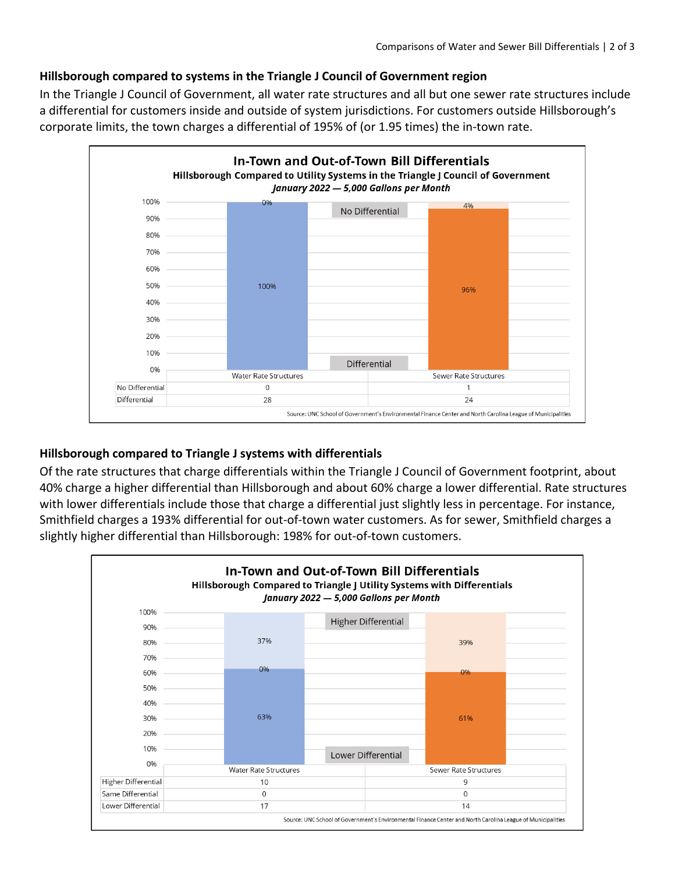## **Hillsborough compared to systems in the Triangle J Council of Government region**

In the Triangle J Council of Government, all water rate structures and all but one sewer rate structures include a differential for customers inside and outside of system jurisdictions. For customers outside Hillsborough's corporate limits, the town charges a differential of 195% of (or 1.95 times) the in-town rate.



## **Hillsborough compared to Triangle J systems with differentials**

Of the rate structures that charge differentials within the Triangle J Council of Government footprint, about 40% charge a higher differential than Hillsborough and about 60% charge a lower differential. Rate structures with lower differentials include those that charge a differential just slightly less in percentage. For instance, Smithfield charges a 193% differential for out-of-town water customers. As for sewer, Smithfield charges a slightly higher differential than Hillsborough: 198% for out-of-town customers.